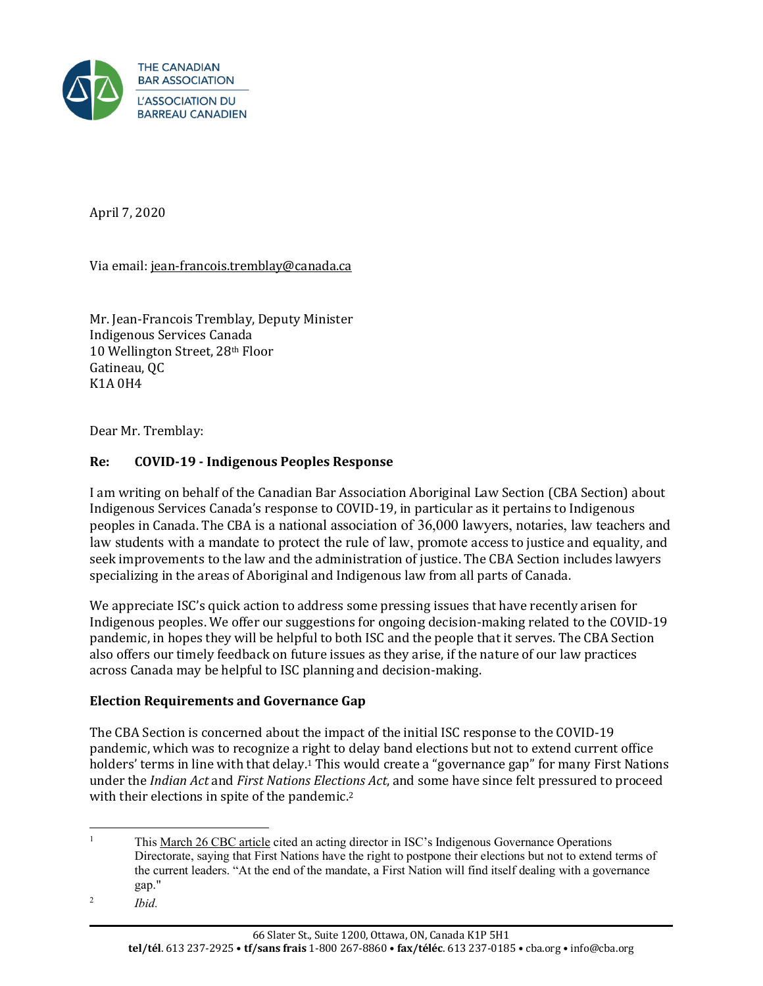

April 7, 2020

Via email: [jean-francois.tremblay@canada.ca](mailto:jean-francois.tremblay@canada.ca)

Mr. Jean-Francois Tremblay, Deputy Minister Indigenous Services Canada 10 Wellington Street, 28th Floor Gatineau, QC K1A 0H4

Dear Mr. Tremblay:

## **Re: COVID-19 - Indigenous Peoples Response**

I am writing on behalf of the Canadian Bar Association Aboriginal Law Section (CBA Section) about Indigenous Services Canada's response to COVID-19, in particular as it pertains to Indigenous peoples in Canada. The CBA is a national association of 36,000 lawyers, notaries, law teachers and law students with a mandate to protect the rule of law, promote access to justice and equality, and seek improvements to the law and the administration of justice. The CBA Section includes lawyers specializing in the areas of Aboriginal and Indigenous law from all parts of Canada.

We appreciate ISC's quick action to address some pressing issues that have recently arisen for Indigenous peoples. We offer our suggestions for ongoing decision-making related to the COVID-19 pandemic, in hopes they will be helpful to both ISC and the people that it serves. The CBA Section also offers our timely feedback on future issues as they arise, if the nature of our law practices across Canada may be helpful to ISC planning and decision-making.

#### **Election Requirements and Governance Gap**

The CBA Section is concerned about the impact of the initial ISC response to the COVID-19 pandemic, which was to recognize a right to delay band elections but not to extend current office holders' terms in line with that delay.<sup>1</sup> This would create a "governance gap" for many First Nations under the *Indian Act* and *First Nations Elections Act*, and some have since felt pressured to proceed with their elections in spite of the pandemic.<sup>2</sup>

<sup>&</sup>lt;sup>1</sup> Thi[s March 26 CBC article](https://www.cbc.ca/news/canada/saskatoon/first-nations-elections-amid-covid-19-1.5510443) cited an acting director in ISC's Indigenous Governance Operations Directorate, saying that First Nations have the right to postpone their elections but not to extend terms of the current leaders. "At the end of the mandate, a First Nation will find itself dealing with a governance gap."

<sup>2</sup> *Ibid.*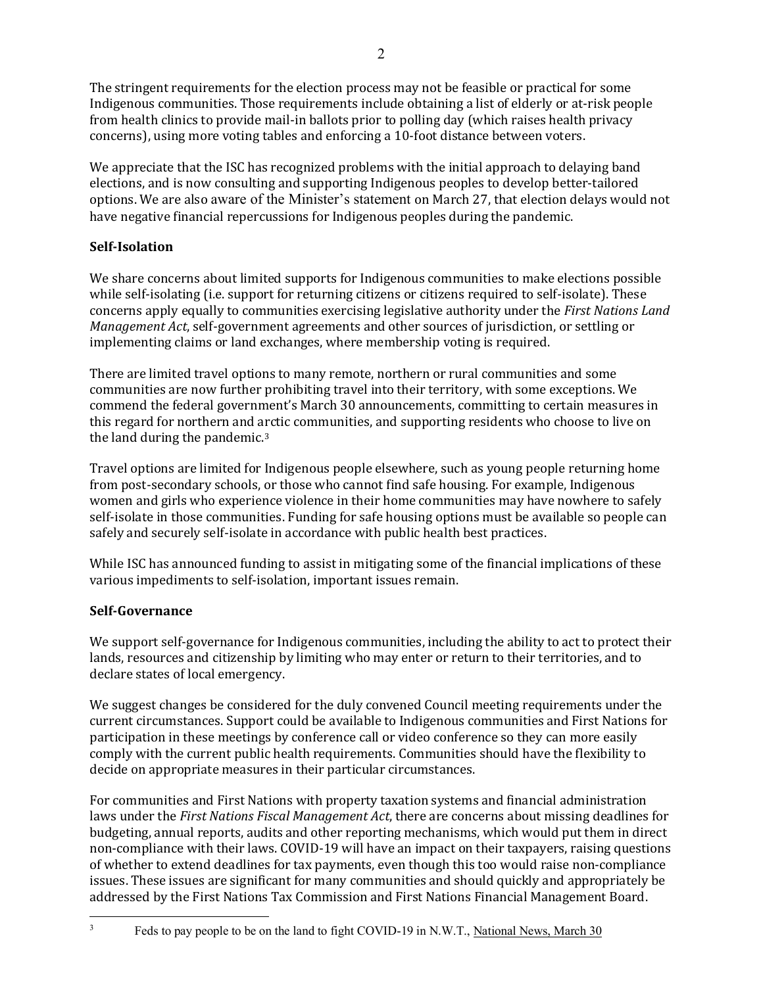The stringent requirements for the election process may not be feasible or practical for some Indigenous communities. Those requirements include obtaining a list of elderly or at-risk people from health clinics to provide mail-in ballots prior to polling day (which raises health privacy concerns), using more voting tables and enforcing a 10-foot distance between voters.

We appreciate that the ISC has recognized problems with the initial approach to delaying band elections, and is now consulting and supporting Indigenous peoples to develop better-tailored options. We are also aware of the Minister's statement on March 27, that election delays would not have negative financial repercussions for Indigenous peoples during the pandemic.

# **Self-Isolation**

We share concerns about limited supports for Indigenous communities to make elections possible while self-isolating (i.e. support for returning citizens or citizens required to self-isolate). These concerns apply equally to communities exercising legislative authority under the *First Nations Land Management Act*, self-government agreements and other sources of jurisdiction, or settling or implementing claims or land exchanges, where membership voting is required.

There are limited travel options to many remote, northern or rural communities and some communities are now further prohibiting travel into their territory, with some exceptions. We commend the federal government's March 30 announcements, committing to certain measures in this regard for northern and arctic communities, and supporting residents who choose to live on the land during the pandemic.<sup>3</sup>

Travel options are limited for Indigenous people elsewhere, such as young people returning home from post-secondary schools, or those who cannot find safe housing. For example, Indigenous women and girls who experience violence in their home communities may have nowhere to safely self-isolate in those communities. Funding for safe housing options must be available so people can safely and securely self-isolate in accordance with public health best practices.

While ISC has announced funding to assist in mitigating some of the financial implications of these various impediments to self-isolation, important issues remain.

# **Self-Governance**

We support self-governance for Indigenous communities, including the ability to act to protect their lands, resources and citizenship by limiting who may enter or return to their territories, and to declare states of local emergency.

We suggest changes be considered for the duly convened Council meeting requirements under the current circumstances. Support could be available to Indigenous communities and First Nations for participation in these meetings by conference call or video conference so they can more easily comply with the current public health requirements. Communities should have the flexibility to decide on appropriate measures in their particular circumstances.

For communities and First Nations with property taxation systems and financial administration laws under the *First Nations Fiscal Management Act*, there are concerns about missing deadlines for budgeting, annual reports, audits and other reporting mechanisms, which would put them in direct non-compliance with their laws. COVID-19 will have an impact on their taxpayers, raising questions of whether to extend deadlines for tax payments, even though this too would raise non-compliance issues. These issues are significant for many communities and should quickly and appropriately be addressed by the First Nations Tax Commission and First Nations Financial Management Board.

<sup>&</sup>lt;sup>3</sup> Feds to pay people to be on the land to fight COVID-19 in N.W.T., <u>National News, March 30</u>